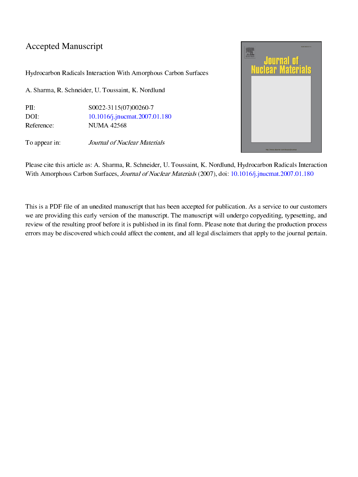## Accepted Manuscript

Hydrocarbon Radicals Interaction With Amorphous Carbon Surfaces

A. Sharma, R. Schneider, U. Toussaint, K. Nordlund

PII: S0022-3115(07)00260-7<br>DOI: 10.1016/j.jnucmat.2007.0 DOI: [10.1016/j.jnucmat.2007.01.180](http://dx.doi.org/10.1016/j.jnucmat.2007.01.180) Reference: NUMA 42568

To appear in: *Journal of Nuclear Materials* 



Please cite this article as: A. Sharma, R. Schneider, U. Toussaint, K. Nordlund, Hydrocarbon Radicals Interaction With Amorphous Carbon Surfaces, Journal of Nuclear Materials (2007), doi: [10.1016/j.jnucmat.2007.01.180](http://dx.doi.org/10.1016/j.jnucmat.2007.01.180)

This is a PDF file of an unedited manuscript that has been accepted for publication. As a service to our customers we are providing this early version of the manuscript. The manuscript will undergo copyediting, typesetting, and review of the resulting proof before it is published in its final form. Please note that during the production process errors may be discovered which could affect the content, and all legal disclaimers that apply to the journal pertain.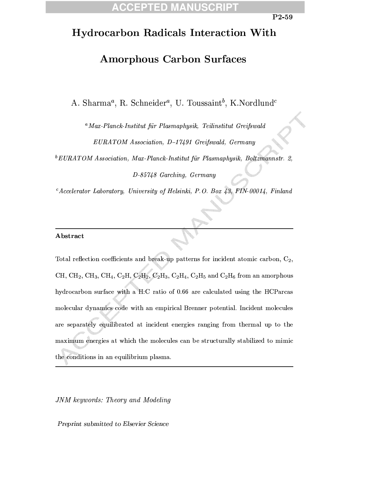## $\Box$

## **Hydrocarbon Radicals Interaction With**

## **Amorphous Carbon Surfaces**

A. Sharma<sup>a</sup>, R. Schneider<sup>a</sup>, U. Toussaint<sup>b</sup>, K. Nordlund<sup>c</sup>

<sup>a</sup> Max-Planck-Institut für Plasmaphysik, Teilinstitut Greifswald EURATOM Association, D-17491 Greifswald, Germany

 $^{b}$ EURATOM Association, Max-Planck-Institut für Plasmaphysik, Boltzmannstr. 2,

 $D-85748$  Garching, Germany

 ${}^c$ Accelerator Laboratory, University of Helsinki, P.O. Box 43, FIN-00014, Finland

### Abstract

Total reflection coefficients and break-up patterns for incident atomic carbon,  $C_2$ , CH, CH<sub>2</sub>, CH<sub>3</sub>, CH<sub>4</sub>, C<sub>2</sub>H, C<sub>2</sub>H<sub>2</sub>, C<sub>2</sub>H<sub>3</sub>, C<sub>2</sub>H<sub>4</sub>, C<sub>2</sub>H<sub>5</sub> and C<sub>2</sub>H<sub>6</sub> from an amorphous hydrocarbon surface with a H:C ratio of 0.66 are calculated using the HCParcas molecular dynamics code with an empirical Brenner potential. Incident molecules are separately equilibrated at incident energies ranging from thermal up to the maximum energies at which the molecules can be structurally stabilized to mimic the conditions in an equilibrium plasma.

JNM keywords: Theory and Modeling

Preprint submitted to Elsevier Science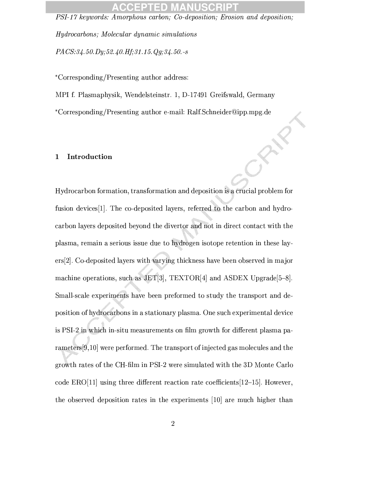## 10

PSI-17 keywords: Amorphous carbon; Co-deposition; Erosion and deposition;

*Hydrocarbons: Molecular dynamic simulations* 

 $PACS: 34.50. Dy; 52.40. Hf; 31.15. Qg; 34.50. -s$ 

\*Corresponding/Presenting author address:

MPI f. Plasmaphysik, Wendelsteinstr. 1, D-17491 Greifswald, Germany

\*Corresponding/Presenting author e-mail: Ralf.Schneider@ipp.mpg.de

#### Introduction  $\mathbf{1}$

Hydrocarbon formation, transformation and deposition is a crucial problem for fusion devices<sup>[1]</sup>. The co-deposited layers, referred to the carbon and hydrocarbon layers deposited beyond the divertor and not in direct contact with the plasma, remain a serious issue due to hydrogen isotope retention in these layers[2]. Co-deposited layers with varying thickness have been observed in major machine operations, such as JET[3], TEXTOR[4] and ASDEX Upgrade  $[5-8]$ . Small-scale experiments have been preformed to study the transport and deposition of hydrocarbons in a stationary plasma. One such experimental device is PSI-2 in which in-situ measurements on film growth for different plasma parameters [9,10] were performed. The transport of injected gas molecules and the growth rates of the CH-film in PSI-2 were simulated with the 3D Monte Carlo code  $ERO[11]$  using three different reaction rate coefficients  $[12-15]$ . However, the observed deposition rates in the experiments [10] are much higher than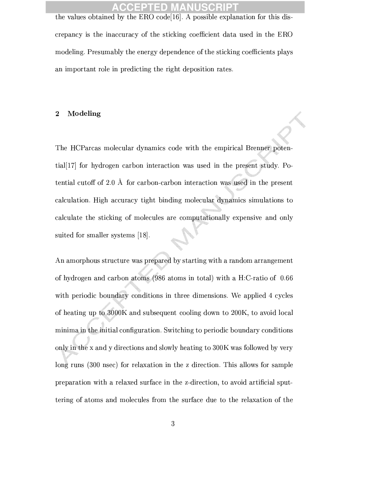## TED M

the values obtained by the ERO code<sup>[16]</sup>. A possible explanation for this discrepancy is the inaccuracy of the sticking coefficient data used in the ERO modeling. Presumably the energy dependence of the sticking coefficients plays an important role in predicting the right deposition rates.

#### Modeling  $\bf{2}$

The HCParcas molecular dynamics code with the empirical Brenner potential<sup>[17]</sup> for hydrogen carbon interaction was used in the present study. Potential cutoff of 2.0 Å for carbon-carbon interaction was used in the present calculation. High accuracy tight binding molecular dynamics simulations to calculate the sticking of molecules are computationally expensive and only suited for smaller systems  $[18]$ .

An amorphous structure was prepared by starting with a random arrangement of hydrogen and carbon atoms (986 atoms in total) with a H:C-ratio of 0.66 with periodic boundary conditions in three dimensions. We applied 4 cycles of heating up to 3000K and subsequent cooling down to 200K, to avoid local minima in the initial configuration. Switching to periodic boundary conditions only in the x and y directions and slowly heating to 300K was followed by very long runs (300 nsec) for relaxation in the z direction. This allows for sample preparation with a relaxed surface in the z-direction, to avoid artificial sputtering of atoms and molecules from the surface due to the relaxation of the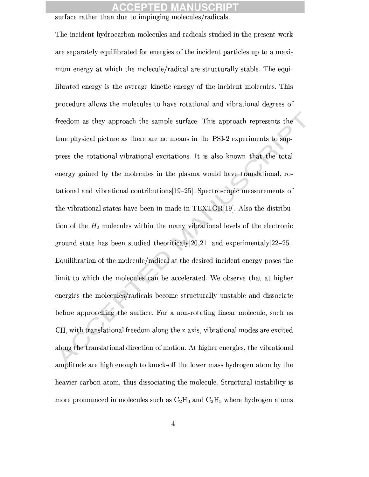## ID

### surface rather than due to impinging molecules/radicals.

The incident hydrocarbon molecules and radicals studied in the present work are separately equilibrated for energies of the incident particles up to a maximum energy at which the molecule/radical are structurally stable. The equilibrated energy is the average kinetic energy of the incident molecules. This procedure allows the molecules to have rotational and vibrational degrees of freedom as they approach the sample surface. This approach represents the true physical picture as there are no means in the PSI-2 experiments to suppress the rotational-vibrational excitations. It is also known that the total energy gained by the molecules in the plasma would have translational, rotational and vibrational contributions [19-25]. Spectroscopic measurements of the vibrational states have been in made in TEXTOR[19]. Also the distribution of the  $H_2$  molecules within the many vibrational levels of the electronic ground state has been studied theoritical  $v[20.21]$  and experimental  $v[22-25]$ . Equilibration of the molecule/radical at the desired incident energy poses the limit to which the molecules can be accelerated. We observe that at higher energies the molecules/radicals become structurally unstable and dissociate before approaching the surface. For a non-rotating linear molecule, such as CH, with translational freedom along the z-axis, vibrational modes are excited along the translational direction of motion. At higher energies, the vibrational amplitude are high enough to knock-off the lower mass hydrogen atom by the heavier carbon atom, thus dissociating the molecule. Structural instability is more pronounced in molecules such as  $C_2H_3$  and  $C_2H_5$  where hydrogen atoms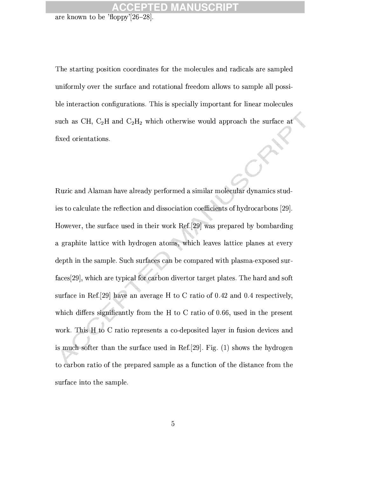## **TED MANU**

are known to be 'floppy'[26-28]

The starting position coordinates for the molecules and radicals are sampled uniformly over the surface and rotational freedom allows to sample all possible interaction configurations. This is specially important for linear molecules such as CH,  $C_2H$  and  $C_2H_2$  which otherwise would approach the surface at fixed orientations.

Ruzic and Alaman have already performed a similar molecular dynamics studies to calculate the reflection and dissociation coefficients of hydrocarbons [29]. However, the surface used in their work Ref.[29] was prepared by bombarding a graphite lattice with hydrogen atoms, which leaves lattice planes at every depth in the sample. Such surfaces can be compared with plasma-exposed surfaces[29], which are typical for carbon divertor target plates. The hard and soft surface in Ref. [29] have an average H to C ratio of 0.42 and 0.4 respectively. which differs significantly from the H to C ratio of 0.66, used in the present work. This H to C ratio represents a co-deposited layer in fusion devices and is much softer than the surface used in Ref. [29]. Fig. (1) shows the hydrogen to carbon ratio of the prepared sample as a function of the distance from the surface into the sample.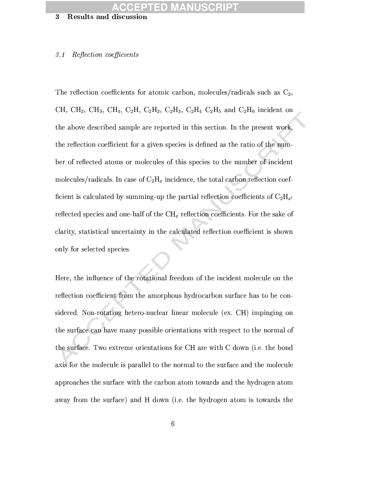## **FED MAN**

#### **Results and discussion**  $\bf{3}$

#### Reflection coefficients  $\mathcal{F}$ . 1

The reflection coefficients for atomic carbon, molecules/radicals such as  $C_2$ , CH, CH<sub>2</sub>, CH<sub>3</sub>, CH<sub>4</sub>, C<sub>2</sub>H, C<sub>2</sub>H<sub>2</sub>, C<sub>2</sub>H<sub>3</sub>, C<sub>2</sub>H<sub>4</sub> C<sub>2</sub>H<sub>5</sub> and C<sub>2</sub>H<sub>6</sub> incident on the above described sample are reported in this section. In the present work, the reflection coefficient for a given species is defined as the ratio of the number of reflected atoms or molecules of this species to the number of incident molecules/radicals. In case of  $C_2H_x$  incidence, the total carbon reflection coefficient is calculated by summing-up the partial reflection coefficients of  $C_2H_{\pi'}$ reflected species and one-half of the  $\text{CH}_x$  reflection coefficients. For the sake of clarity, statistical uncertainty in the calculated reflection coefficient is shown only for selected species.

Here, the influence of the rotational freedom of the incident molecule on the reflection coefficient from the amorphous hydrocarbon surface has to be considered. Non-rotating hetero-nuclear linear molecule (ex. CH) impinging on the surface can have many possible orientations with respect to the normal of the surface. Two extreme orientations for CH are with C down (i.e. the bond axis for the molecule is parallel to the normal to the surface and the molecule approaches the surface with the carbon atom towards and the hydrogen atom away from the surface) and H down (i.e. the hydrogen atom is towards the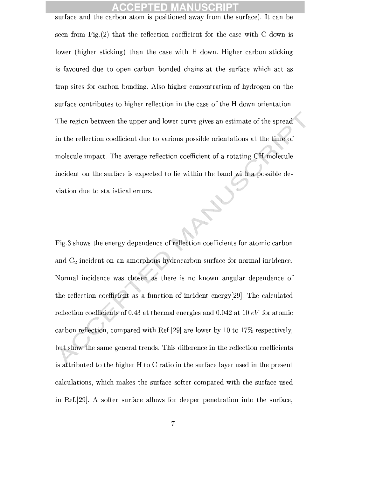## D

surface and the carbon atom is positioned away from the surface). It can be seen from Fig.  $(2)$  that the reflection coefficient for the case with C down is lower (higher sticking) than the case with H down. Higher carbon sticking is favoured due to open carbon bonded chains at the surface which act as trap sites for carbon bonding. Also higher concentration of hydrogen on the surface contributes to higher reflection in the case of the H down orientation. The region between the upper and lower curve gives an estimate of the spread in the reflection coefficient due to various possible orientations at the time of molecule impact. The average reflection coefficient of a rotating CH molecule incident on the surface is expected to lie within the band with a possible deviation due to statistical errors.

Fig.3 shows the energy dependence of reflection coefficients for atomic carbon and  $C_2$  incident on an amorphous hydrocarbon surface for normal incidence. Normal incidence was chosen as there is no known angular dependence of the reflection coefficient as a function of incident energy [29]. The calculated reflection coefficients of 0.43 at thermal energies and 0.042 at 10  $eV$  for atomic carbon reflection, compared with Ref. [29] are lower by 10 to 17% respectively, but show the same general trends. This difference in the reflection coefficients is attributed to the higher H to C ratio in the surface layer used in the present calculations, which makes the surface softer compared with the surface used in Ref. [29]. A softer surface allows for deeper penetration into the surface,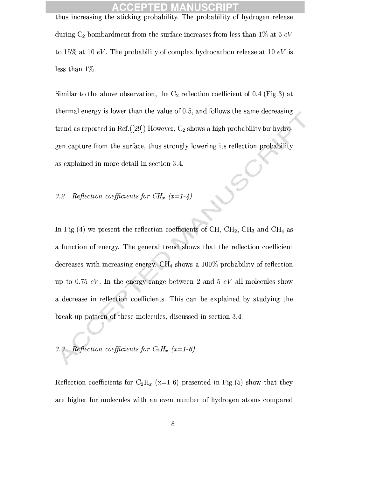## 10

thus increasing the sticking probability. The probability of hydrogen release during  $C_2$  bombardment from the surface increases from less than 1% at 5  $eV$ to 15% at 10 eV. The probability of complex hydrocarbon release at 10 eV is less than  $1\%$ .

Similar to the above observation, the  $C_2$  reflection coefficient of 0.4 (Fig.3) at thermal energy is lower than the value of 0.5, and follows the same decreasing trend as reported in Ref. ([29]) However,  $C_2$  shows a high probability for hydrogen capture from the surface, thus strongly lowering its reflection probability as explained in more detail in section 3.4.

# 3.2 Reflection coefficients for  $CH_x$   $(x=1-4)$

In Fig. (4) we present the reflection coefficients of CH,  $CH_2$ ,  $CH_3$  and CH<sub>4</sub> as a function of energy. The general trend shows that the reflection coefficient decreases with increasing energy.  $CH_4$  shows a 100% probability of reflection up to 0.75 eV. In the energy range between 2 and 5 eV all molecules show a decrease in reflection coefficients. This can be explained by studying the break-up pattern of these molecules, discussed in section 3.4.

3.3 Reflection coefficients for  $C_2H_x$  (x=1-6)

Reflection coefficients for  $C_2H_x$  (x=1-6) presented in Fig.(5) show that they are higher for molecules with an even number of hydrogen atoms compared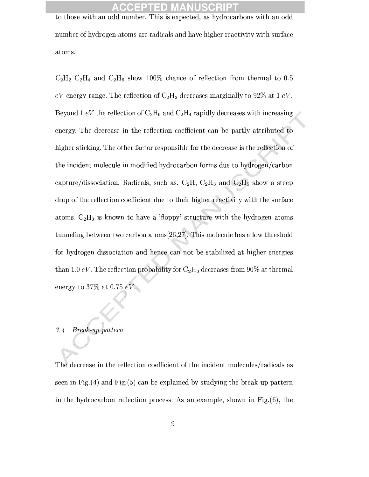## CCEPTED MA

to those with an odd number. This is expected, as hydrocarbons with an odd number of hydrogen atoms are radicals and have higher reactivity with surface atoms.

 $C_2H_2 C_2H_4$  and  $C_2H_6$  show 100% chance of reflection from thermal to 0.5 eV energy range. The reflection of  $C_2H_2$  decreases marginally to 92% at 1 eV. Beyond 1 eV the reflection of  $C_2H_6$  and  $C_2H_4$  rapidly decreases with increasing energy. The decrease in the reflection coefficient can be partly attributed to higher sticking. The other factor responsible for the decrease is the reflection of the incident molecule in modified hydrocarbon forms due to hydrogen/carbon capture/dissociation. Radicals, such as,  $C_2H$ ,  $C_2H_3$  and  $C_2H_5$  show a steep drop of the reflection coefficient due to their higher reactivity with the surface atoms.  $C_2H_3$  is known to have a 'floppy' structure with the hydrogen atoms tunneling between two carbon atoms  $[26,27]$ . This molecule has a low threshold for hydrogen dissociation and hence can not be stabilized at higher energies than 1.0 eV. The reflection probability for  $C_2H_3$  decreases from 90% at thermal energy to 37% at 0.75  $eV$ .

### Break-up pattern  $3.4$

The decrease in the reflection coefficient of the incident molecules/radicals as seen in Fig. $(4)$  and Fig. $(5)$  can be explained by studying the break-up pattern in the hydrocarbon reflection process. As an example, shown in Fig. $(6)$ , the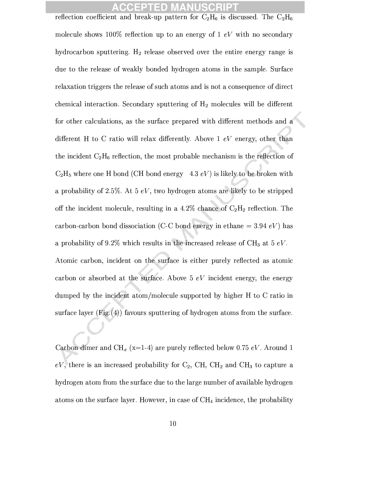## TED MA

reflection coefficient and break-up pattern for  $C_2H_6$  is discussed. The  $C_2H_6$ molecule shows 100% reflection up to an energy of 1  $eV$  with no secondary hydrocarbon sputtering.  $H_2$  release observed over the entire energy range is due to the release of weakly bonded hydrogen atoms in the sample. Surface relaxation triggers the release of such atoms and is not a consequence of direct chemical interaction. Secondary sputtering of  $H_2$  molecules will be different for other calculations, as the surface prepared with different methods and a different H to C ratio will relax differently. Above 1  $eV$  energy, other than the incident  $C_2H_6$  reflection, the most probable mechanism is the reflection of  $C_2H_5$  where one H bond (CH bond energy 4.3 eV) is likely to be broken with a probability of 2.5%. At 5  $eV$ , two hydrogen atoms are likely to be stripped off the incident molecule, resulting in a 4.2% chance of  $C_2H_2$  reflection. The carbon-carbon bond dissociation (C-C bond energy in ethane = 3.94  $eV$ ) has a probability of 9.2% which results in the increased release of  $CH_3$  at 5 eV. Atomic carbon, incident on the surface is either purely reflected as atomic carbon or absorbed at the surface. Above 5  $eV$  incident energy, the energy dumped by the incident atom/molecule supported by higher H to C ratio in surface layer  $(Fig. (4))$  favours sputtering of hydrogen atoms from the surface.

Carbon dimer and CH<sub>x</sub> (x=1-4) are purely reflected below 0.75 eV. Around 1  $eV$ , there is an increased probability for  $C_2$ , CH, CH<sub>2</sub> and CH<sub>3</sub> to capture a hydrogen atom from the surface due to the large number of available hydrogen atoms on the surface layer. However, in case of  $\text{CH}_4$  incidence, the probability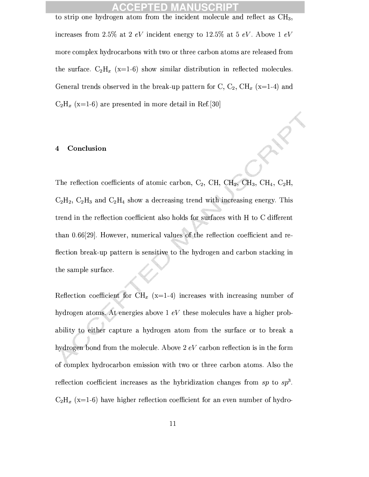## CCEPTED M

to strip one hydrogen atom from the incident molecule and reflect as  $CH<sub>3</sub>$ , increases from 2.5% at 2 eV incident energy to 12.5% at 5 eV. Above 1 eV more complex hydrocarbons with two or three carbon atoms are released from the surface.  $C_2H_x$  (x=1-6) show similar distribution in reflected molecules. General trends observed in the break-up pattern for C,  $C_2$ ,  $CH_x$  (x=1-4) and  $C_2H_x$  (x=1-6) are presented in more detail in Ref.[30]

#### Conclusion  $\overline{\mathbf{4}}$

The reflection coefficients of atomic carbon,  $C_2$ , CH, CH<sub>2</sub>, CH<sub>3</sub>, CH<sub>4</sub>, C<sub>2</sub>H,  $C_2H_2$ ,  $C_2H_3$  and  $C_2H_4$  show a decreasing trend with increasing energy. This trend in the reflection coefficient also holds for surfaces with H to C different than 0.66[29]. However, numerical values of the reflection coefficient and reflection break-up pattern is sensitive to the hydrogen and carbon stacking in the sample surface.

Reflection coefficient for CH<sub>x</sub> (x=1-4) increases with increasing number of hydrogen atoms. At energies above  $1 eV$  these molecules have a higher probability to either capture a hydrogen atom from the surface or to break a hydrogen bond from the molecule. Above  $2 eV$  carbon reflection is in the form of complex hydrocarbon emission with two or three carbon atoms. Also the reflection coefficient increases as the hybridization changes from sp to  $sp^3$ .  $C_2H_x$  (x=1-6) have higher reflection coefficient for an even number of hydro-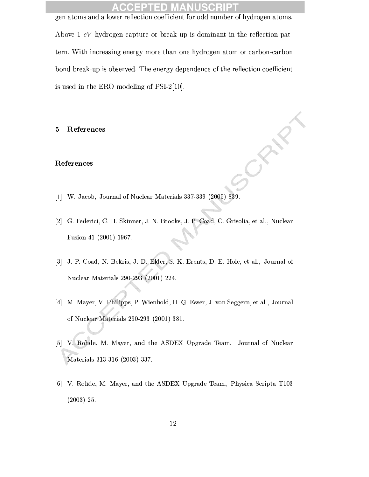### **ACCEPTED MANUSCRIPT** gen atoms and a lower reflection coefficient for odd number of hydrogen atoms.

Above 1  $eV$  hydrogen capture or break-up is dominant in the reflection pattern. With increasing energy more than one hydrogen atom or carbon-carbon bond break-up is observed. The energy dependence of the reflection coefficient is used in the ERO modeling of  $PSI-2[10]$ .

References  $\mathbf{5}$ 

### References

- [1] W. Jacob, Journal of Nuclear Materials 337-339 (2005) 839.
- [2] G. Federici, C. H. Skinner, J. N. Brooks, J. P. Coad, C. Grisolia, et al., Nuclear Fusion 41 (2001) 1967.
- [3] J. P. Coad, N. Bekris, J. D. Elder, S. K. Erents, D. E. Hole, et al., Journal of Nuclear Materials 290-293 (2001) 224.
- [4] M. Mayer, V. Philipps, P. Wienhold, H. G. Esser, J. von Seggern, et al., Journal of Nuclear Materials 290-293 (2001) 381.
- [5] V. Rohde, M. Mayer, and the ASDEX Upgrade Team, Journal of Nuclear Materials 313-316 (2003) 337.
- [6] V. Rohde, M. Mayer, and the ASDEX Upgrade Team, Physica Scripta T103  $(2003)$  25.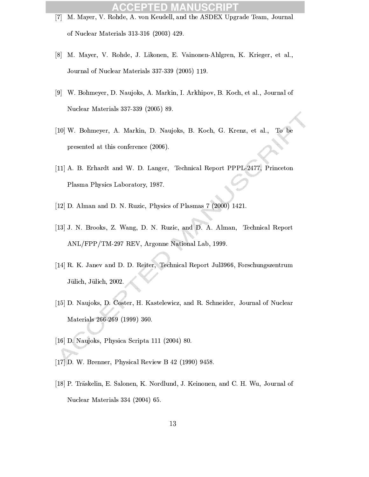### **SCRIPT** D

- [7] M. Mayer, V. Rohde, A. von Keudell, and the ASDEX Upgrade Team, Journal of Nuclear Materials 313-316 (2003) 429.
- [8] M. Mayer, V. Rohde, J. Likonen, E. Vainonen-Ahlgren, K. Krieger, et al., Journal of Nuclear Materials 337-339 (2005) 119.
- [9] W. Bohmeyer, D. Naujoks, A. Markin, I. Arkhipov, B. Koch, et al., Journal of Nuclear Materials 337-339 (2005) 89.
- [10] W. Bohmeyer, A. Markin, D. Naujoks, B. Koch, G. Krenz, et al., To be presented at this conference (2006).
- [11] A. B. Erhardt and W. D. Langer, Technical Report PPPL-2477, Princeton Plasma Physics Laboratory, 1987.
- [12] D. Alman and D. N. Ruzic, Physics of Plasmas  $7(2000)$  1421.
- [13] J. N. Brooks, Z. Wang, D. N. Ruzic, and D. A. Alman, Technical Report ANL/FPP/TM-297 REV, Argonne National Lab, 1999.
- [14] R. K. Janev and D. D. Reiter, Technical Report Jul 3966, Forschungszentrum Jülich, Jülich, 2002.
- [15] D. Naujoks, D. Coster, H. Kastelewicz, and R. Schneider, Journal of Nuclear Materials 266-269 (1999) 360.
- [16] D. Naujoks, Physica Scripta 111 (2004) 80.
- [17] D. W. Brenner, Physical Review B 42 (1990) 9458.
- [18] P. Träskelin, E. Salonen, K. Nordlund, J. Keinonen, and C. H. Wu, Journal of Nuclear Materials 334 (2004) 65.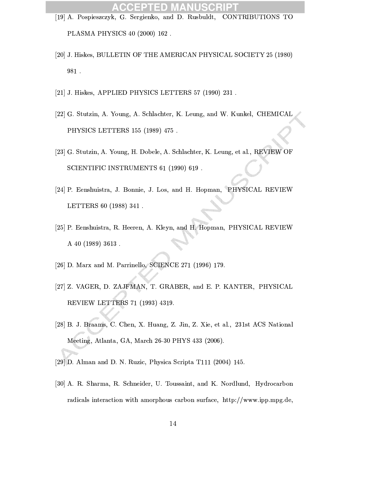- [19] A. Pospieszczyk, G. Sergienko, and D. Rusbuldt, CONTRIBUTIONS TO PLASMA PHYSICS 40 (2000) 162.
- [20] J. Hiskes, BULLETIN OF THE AMERICAN PHYSICAL SOCIETY 25 (1980) 981.
- [21] J. Hiskes, APPLIED PHYSICS LETTERS 57 (1990) 231.
- [22] G. Stutzin, A. Young, A. Schlachter, K. Leung, and W. Kunkel, CHEMICAL PHYSICS LETTERS 155 (1989) 475.
- [23] G. Stutzin, A. Young, H. Dobele, A. Schlachter, K. Leung, et al., REVIEW OF SCIENTIFIC INSTRUMENTS 61 (1990) 619.
- [24] P. Eenshuistra, J. Bonnie, J. Los, and H. Hopman, PHYSICAL REVIEW LETTERS 60 (1988) 341.
- [25] P. Eenshuistra, R. Heeren, A. Kleyn, and H. Hopman, PHYSICAL REVIEW A 40 (1989) 3613.
- [26] D. Marx and M. Parrinello, SCIENCE 271 (1996) 179.
- [27] Z. VAGER, D. ZAJFMAN, T. GRABER, and E. P. KANTER, PHYSICAL REVIEW LETTERS 71 (1993) 4319.
- [28] B. J. Braams, C. Chen, X. Huang, Z. Jin, Z. Xie, et al., 231st ACS National Meeting, Atlanta, GA, March 26-30 PHYS 433 (2006).
- [29] D. Alman and D. N. Ruzic, Physica Scripta T111 (2004) 145.
- [30] A. R. Sharma, R. Schneider, U. Toussaint, and K. Nordlund, Hydrocarbon radicals interaction with amorphous carbon surface, http://www.ipp.mpg.de,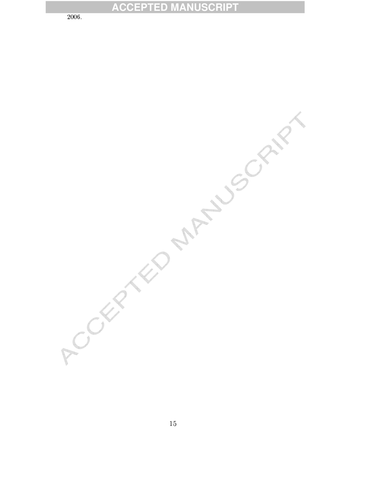## **ACCEPTED MANUSCRIPT**

2006

ACCEPTED MANUSCRIPT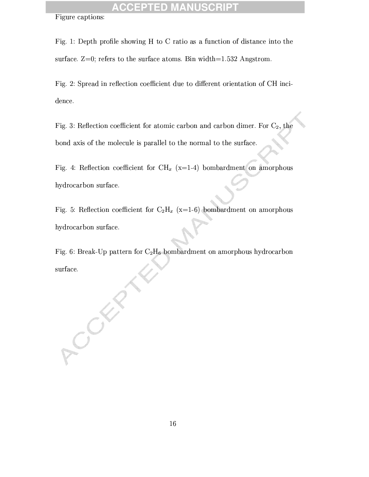## **ACCEPTED MANUSCR**

Figure captions:

SCK

Fig. 1: Depth profile showing H to C ratio as a function of distance into the surface.  $Z=0$ ; refers to the surface atoms. Bin width=1.532 Angstrom.

Fig. 2: Spread in reflection coefficient due to different orientation of CH incidence.

Fig. 3: Reflection coefficient for atomic carbon and carbon dimer. For  $C_2$ , the bond axis of the molecule is parallel to the normal to the surface.

Fig. 4: Reflection coefficient for CH<sub>x</sub> (x=1-4) bombardment on amorphous hydrocarbon surface.

Fig. 5: Reflection coefficient for  $C_2H_x$  (x=1-6) bombardment on amorphous hydrocarbon surface.

Fig. 6: Break-Up pattern for  $C_2H_6$  bombardment on amorphous hydrocarbon surface.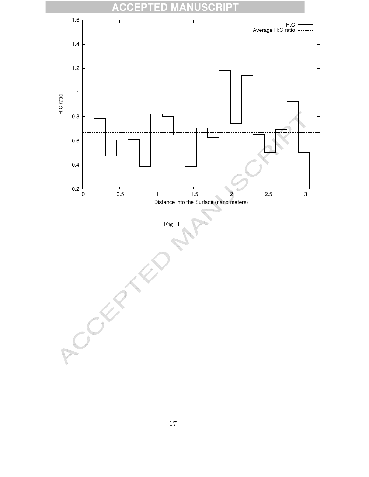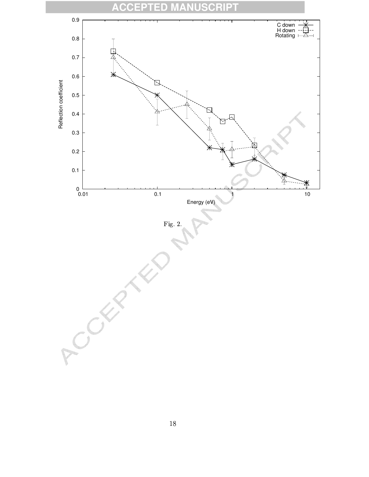

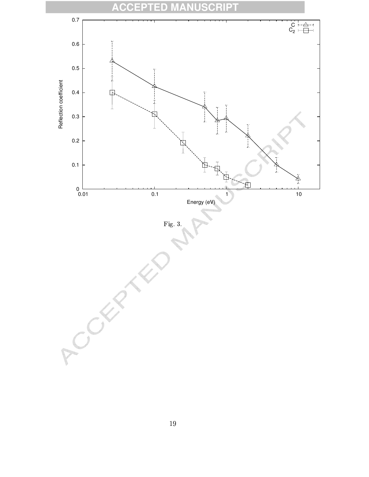

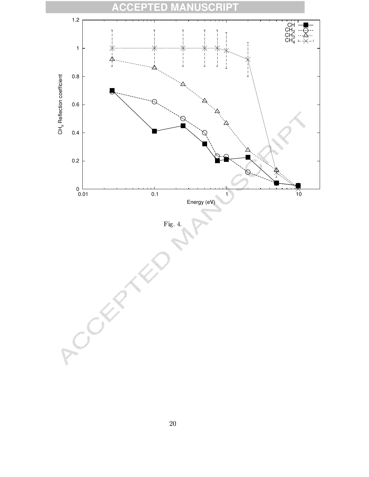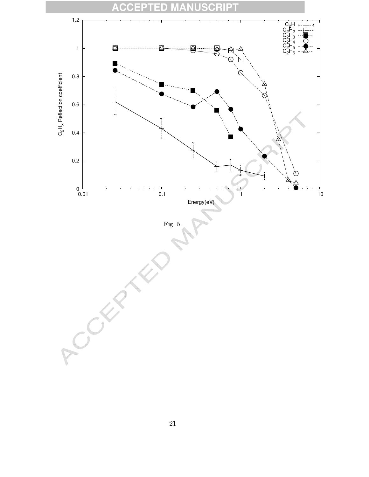# **ACCEPTED MANUSCRIPT**